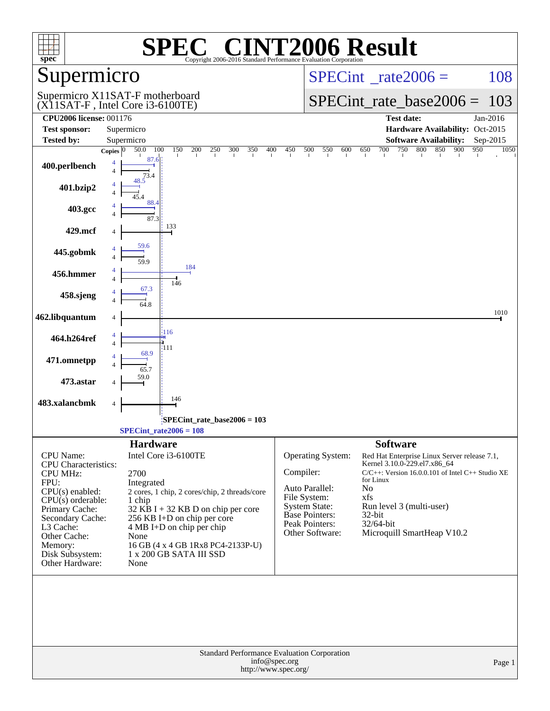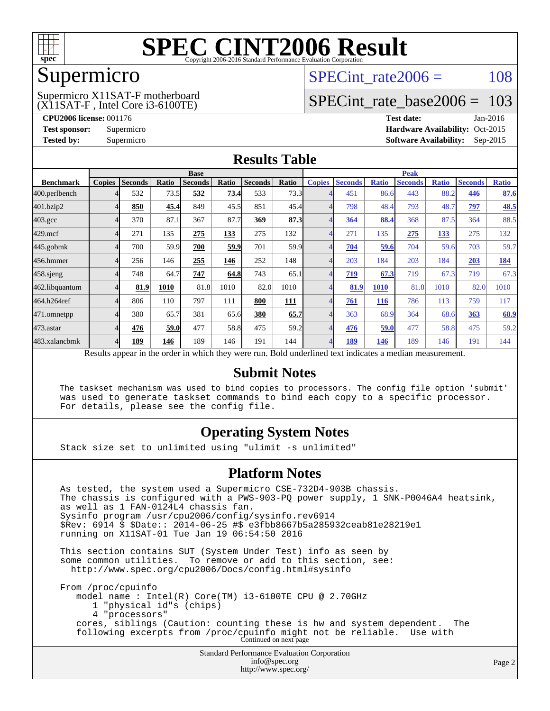

## Supermicro

#### (X11SAT-F , Intel Core i3-6100TE) Supermicro X11SAT-F motherboard

SPECint rate $2006 = 108$ 

# [SPECint\\_rate\\_base2006 =](http://www.spec.org/auto/cpu2006/Docs/result-fields.html#SPECintratebase2006) 103

**[CPU2006 license:](http://www.spec.org/auto/cpu2006/Docs/result-fields.html#CPU2006license)** 001176 **[Test date:](http://www.spec.org/auto/cpu2006/Docs/result-fields.html#Testdate)** Jan-2016 **[Test sponsor:](http://www.spec.org/auto/cpu2006/Docs/result-fields.html#Testsponsor)** Supermicro Supermicro **[Hardware Availability:](http://www.spec.org/auto/cpu2006/Docs/result-fields.html#HardwareAvailability)** Oct-2015 **[Tested by:](http://www.spec.org/auto/cpu2006/Docs/result-fields.html#Testedby)** Supermicro **Supermicro [Software Availability:](http://www.spec.org/auto/cpu2006/Docs/result-fields.html#SoftwareAvailability)** Sep-2015

### **[Results Table](http://www.spec.org/auto/cpu2006/Docs/result-fields.html#ResultsTable)**

|                                                                                                          | <b>Base</b>   |                |       |                |       |                |            |                | <b>Peak</b>    |              |                |              |                |              |  |
|----------------------------------------------------------------------------------------------------------|---------------|----------------|-------|----------------|-------|----------------|------------|----------------|----------------|--------------|----------------|--------------|----------------|--------------|--|
| <b>Benchmark</b>                                                                                         | <b>Copies</b> | <b>Seconds</b> | Ratio | <b>Seconds</b> | Ratio | <b>Seconds</b> | Ratio      | <b>Copies</b>  | <b>Seconds</b> | <b>Ratio</b> | <b>Seconds</b> | <b>Ratio</b> | <b>Seconds</b> | <b>Ratio</b> |  |
| 400.perlbench                                                                                            |               | 532            | 73.5  | 532            | 73.4  | 533            | 73.3       |                | 451            | 86.6         | 443            | 88.2         | 446            | 87.6         |  |
| 401.bzip2                                                                                                |               | 850            | 45.4  | 849            | 45.5  | 851            | 45.4       | 4              | 798            | 48.4         | 793            | 48.7         | <u>797</u>     | <u>48.5</u>  |  |
| $403.\mathrm{gcc}$                                                                                       |               | 370            | 87.1  | 367            | 87.7  | 369            | 87.3       | 4              | 364            | 88.4         | 368            | 87.5         | 364            | 88.5         |  |
| $429$ .mcf                                                                                               |               | 271            | 135   | 275            | 133   | 275            | 132        | $\overline{4}$ | 271            | 135          | 275            | 133          | 275            | 132          |  |
| $445$ .gobm $k$                                                                                          |               | 700            | 59.9  | 700            | 59.9  | 701            | 59.9       | $\overline{4}$ | 704            | 59.6         | 704            | 59.6         | 703            | 59.7         |  |
| 456.hmmer                                                                                                |               | 256            | 146   | 255            | 146   | 252            | 148        | $\overline{4}$ | 203            | 184          | 203            | 184          | 203            | 184          |  |
| $458$ .sjeng                                                                                             |               | 748            | 64.7  | 747            | 64.8  | 743            | 65.1       | 4              | 719            | 67.3         | 719            | 67.3         | 719            | 67.3         |  |
| 462.libquantum                                                                                           |               | 81.9           | 1010  | 81.8           | 1010  | 82.0           | 1010       | 4              | 81.9           | <b>1010</b>  | 81.8           | 1010         | 82.0           | 1010         |  |
| 464.h264ref                                                                                              |               | 806            | 110   | 797            | 111   | 800            | <u>111</u> | $\overline{4}$ | 761            | <b>116</b>   | 786            | 113          | 759            | 117          |  |
| 471.omnetpp                                                                                              |               | 380            | 65.7  | 381            | 65.6  | 380            | 65.7       | 4              | 363            | 68.9         | 364            | 68.6         | 363            | 68.9         |  |
| $473$ . astar                                                                                            |               | 476            | 59.0  | 477            | 58.8  | 475            | 59.2       | $\overline{4}$ | 476            | 59.0         | 477            | 58.8         | 475            | 59.2         |  |
| 483.xalancbmk                                                                                            |               | 189            | 146   | 189            | 146   | 191            | 144        | $\overline{4}$ | 189            | 146          | 189            | 146          | 191            | 144          |  |
| Results appear in the order in which they were run. Bold underlined text indicates a median measurement. |               |                |       |                |       |                |            |                |                |              |                |              |                |              |  |

#### **[Submit Notes](http://www.spec.org/auto/cpu2006/Docs/result-fields.html#SubmitNotes)**

 The taskset mechanism was used to bind copies to processors. The config file option 'submit' was used to generate taskset commands to bind each copy to a specific processor. For details, please see the config file.

### **[Operating System Notes](http://www.spec.org/auto/cpu2006/Docs/result-fields.html#OperatingSystemNotes)**

Stack size set to unlimited using "ulimit -s unlimited"

#### **[Platform Notes](http://www.spec.org/auto/cpu2006/Docs/result-fields.html#PlatformNotes)**

Standard Performance Evaluation Corporation As tested, the system used a Supermicro CSE-732D4-903B chassis. The chassis is configured with a PWS-903-PQ power supply, 1 SNK-P0046A4 heatsink, as well as 1 FAN-0124L4 chassis fan. Sysinfo program /usr/cpu2006/config/sysinfo.rev6914 \$Rev: 6914 \$ \$Date:: 2014-06-25 #\$ e3fbb8667b5a285932ceab81e28219e1 running on X11SAT-01 Tue Jan 19 06:54:50 2016 This section contains SUT (System Under Test) info as seen by some common utilities. To remove or add to this section, see: <http://www.spec.org/cpu2006/Docs/config.html#sysinfo> From /proc/cpuinfo model name : Intel(R) Core(TM) i3-6100TE CPU @ 2.70GHz 1 "physical id"s (chips) 4 "processors" cores, siblings (Caution: counting these is hw and system dependent. The following excerpts from /proc/cpuinfo might not be reliable. Use with Continued on next page

[info@spec.org](mailto:info@spec.org) <http://www.spec.org/>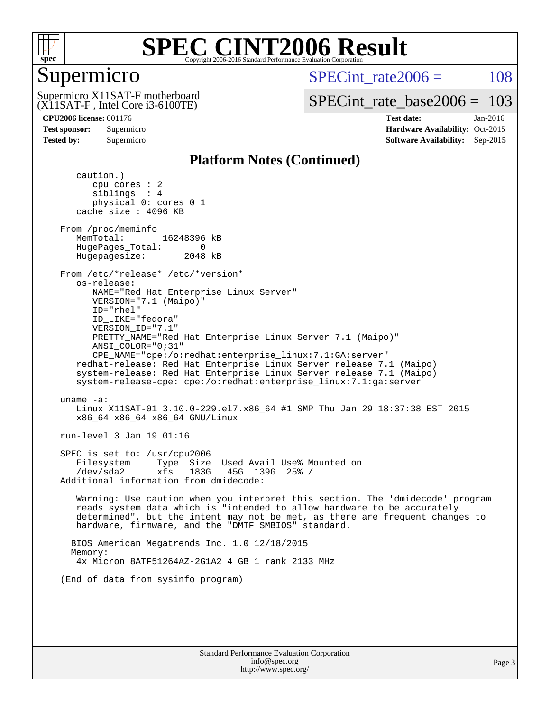

# Supermicro

SPECint rate $2006 = 108$ 

(X11SAT-F , Intel Core i3-6100TE) Supermicro X11SAT-F motherboard

[SPECint\\_rate\\_base2006 =](http://www.spec.org/auto/cpu2006/Docs/result-fields.html#SPECintratebase2006) 103

**[CPU2006 license:](http://www.spec.org/auto/cpu2006/Docs/result-fields.html#CPU2006license)** 001176 **[Test date:](http://www.spec.org/auto/cpu2006/Docs/result-fields.html#Testdate)** Jan-2016 **[Test sponsor:](http://www.spec.org/auto/cpu2006/Docs/result-fields.html#Testsponsor)** Supermicro Supermicro **[Hardware Availability:](http://www.spec.org/auto/cpu2006/Docs/result-fields.html#HardwareAvailability)** Oct-2015 **[Tested by:](http://www.spec.org/auto/cpu2006/Docs/result-fields.html#Testedby)** Supermicro **Supermicro [Software Availability:](http://www.spec.org/auto/cpu2006/Docs/result-fields.html#SoftwareAvailability)** Sep-2015

### **[Platform Notes \(Continued\)](http://www.spec.org/auto/cpu2006/Docs/result-fields.html#PlatformNotes)**

 caution.) cpu cores : 2 siblings : 4 physical 0: cores 0 1 cache size : 4096 KB From /proc/meminfo MemTotal: 16248396 kB HugePages\_Total: 0<br>Hugepagesize: 2048 kB Hugepagesize: From /etc/\*release\* /etc/\*version\* os-release: NAME="Red Hat Enterprise Linux Server" VERSION="7.1 (Maipo)" ID="rhel" ID\_LIKE="fedora" VERSION\_ID="7.1" PRETTY\_NAME="Red Hat Enterprise Linux Server 7.1 (Maipo)" ANSI\_COLOR="0;31" CPE\_NAME="cpe:/o:redhat:enterprise\_linux:7.1:GA:server" redhat-release: Red Hat Enterprise Linux Server release 7.1 (Maipo) system-release: Red Hat Enterprise Linux Server release 7.1 (Maipo) system-release-cpe: cpe:/o:redhat:enterprise\_linux:7.1:ga:server uname -a: Linux X11SAT-01 3.10.0-229.el7.x86\_64 #1 SMP Thu Jan 29 18:37:38 EST 2015 x86\_64 x86\_64 x86\_64 GNU/Linux run-level 3 Jan 19 01:16 SPEC is set to: /usr/cpu2006 Filesystem Type Size Used Avail Use% Mounted on /dev/sda2 xfs 183G 45G 139G 25% / Additional information from dmidecode: Warning: Use caution when you interpret this section. The 'dmidecode' program reads system data which is "intended to allow hardware to be accurately determined", but the intent may not be met, as there are frequent changes to hardware, firmware, and the "DMTF SMBIOS" standard. BIOS American Megatrends Inc. 1.0 12/18/2015 Memory: 4x Micron 8ATF51264AZ-2G1A2 4 GB 1 rank 2133 MHz (End of data from sysinfo program)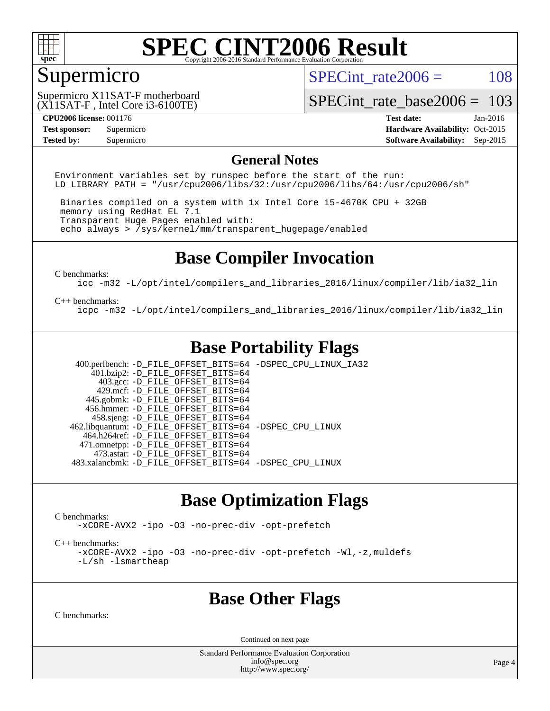

# Supermicro

SPECint rate $2006 = 108$ 

(X11SAT-F , Intel Core i3-6100TE) Supermicro X11SAT-F motherboard

[SPECint\\_rate\\_base2006 =](http://www.spec.org/auto/cpu2006/Docs/result-fields.html#SPECintratebase2006) 103

**[CPU2006 license:](http://www.spec.org/auto/cpu2006/Docs/result-fields.html#CPU2006license)** 001176 **[Test date:](http://www.spec.org/auto/cpu2006/Docs/result-fields.html#Testdate)** Jan-2016 **[Test sponsor:](http://www.spec.org/auto/cpu2006/Docs/result-fields.html#Testsponsor)** Supermicro Supermicro **[Hardware Availability:](http://www.spec.org/auto/cpu2006/Docs/result-fields.html#HardwareAvailability)** Oct-2015 **[Tested by:](http://www.spec.org/auto/cpu2006/Docs/result-fields.html#Testedby)** Supermicro **Supermicro [Software Availability:](http://www.spec.org/auto/cpu2006/Docs/result-fields.html#SoftwareAvailability)** Sep-2015

#### **[General Notes](http://www.spec.org/auto/cpu2006/Docs/result-fields.html#GeneralNotes)**

Environment variables set by runspec before the start of the run: LD LIBRARY PATH = "/usr/cpu2006/libs/32:/usr/cpu2006/libs/64:/usr/cpu2006/sh"

 Binaries compiled on a system with 1x Intel Core i5-4670K CPU + 32GB memory using RedHat EL 7.1 Transparent Huge Pages enabled with: echo always > /sys/kernel/mm/transparent\_hugepage/enabled

## **[Base Compiler Invocation](http://www.spec.org/auto/cpu2006/Docs/result-fields.html#BaseCompilerInvocation)**

[C benchmarks](http://www.spec.org/auto/cpu2006/Docs/result-fields.html#Cbenchmarks):

[icc -m32 -L/opt/intel/compilers\\_and\\_libraries\\_2016/linux/compiler/lib/ia32\\_lin](http://www.spec.org/cpu2006/results/res2016q1/cpu2006-20160120-38718.flags.html#user_CCbase_intel_icc_e10256ba5924b668798078a321b0cb3f)

#### [C++ benchmarks:](http://www.spec.org/auto/cpu2006/Docs/result-fields.html#CXXbenchmarks)

[icpc -m32 -L/opt/intel/compilers\\_and\\_libraries\\_2016/linux/compiler/lib/ia32\\_lin](http://www.spec.org/cpu2006/results/res2016q1/cpu2006-20160120-38718.flags.html#user_CXXbase_intel_icpc_b4f50a394bdb4597aa5879c16bc3f5c5)

# **[Base Portability Flags](http://www.spec.org/auto/cpu2006/Docs/result-fields.html#BasePortabilityFlags)**

 400.perlbench: [-D\\_FILE\\_OFFSET\\_BITS=64](http://www.spec.org/cpu2006/results/res2016q1/cpu2006-20160120-38718.flags.html#user_basePORTABILITY400_perlbench_file_offset_bits_64_438cf9856305ebd76870a2c6dc2689ab) [-DSPEC\\_CPU\\_LINUX\\_IA32](http://www.spec.org/cpu2006/results/res2016q1/cpu2006-20160120-38718.flags.html#b400.perlbench_baseCPORTABILITY_DSPEC_CPU_LINUX_IA32)  $401.bzip2: -D$ FILE\_OFFSET\_BITS=64 403.gcc: [-D\\_FILE\\_OFFSET\\_BITS=64](http://www.spec.org/cpu2006/results/res2016q1/cpu2006-20160120-38718.flags.html#user_basePORTABILITY403_gcc_file_offset_bits_64_438cf9856305ebd76870a2c6dc2689ab) 429.mcf: [-D\\_FILE\\_OFFSET\\_BITS=64](http://www.spec.org/cpu2006/results/res2016q1/cpu2006-20160120-38718.flags.html#user_basePORTABILITY429_mcf_file_offset_bits_64_438cf9856305ebd76870a2c6dc2689ab) 445.gobmk: [-D\\_FILE\\_OFFSET\\_BITS=64](http://www.spec.org/cpu2006/results/res2016q1/cpu2006-20160120-38718.flags.html#user_basePORTABILITY445_gobmk_file_offset_bits_64_438cf9856305ebd76870a2c6dc2689ab) 456.hmmer: [-D\\_FILE\\_OFFSET\\_BITS=64](http://www.spec.org/cpu2006/results/res2016q1/cpu2006-20160120-38718.flags.html#user_basePORTABILITY456_hmmer_file_offset_bits_64_438cf9856305ebd76870a2c6dc2689ab) 458.sjeng: [-D\\_FILE\\_OFFSET\\_BITS=64](http://www.spec.org/cpu2006/results/res2016q1/cpu2006-20160120-38718.flags.html#user_basePORTABILITY458_sjeng_file_offset_bits_64_438cf9856305ebd76870a2c6dc2689ab) 462.libquantum: [-D\\_FILE\\_OFFSET\\_BITS=64](http://www.spec.org/cpu2006/results/res2016q1/cpu2006-20160120-38718.flags.html#user_basePORTABILITY462_libquantum_file_offset_bits_64_438cf9856305ebd76870a2c6dc2689ab) [-DSPEC\\_CPU\\_LINUX](http://www.spec.org/cpu2006/results/res2016q1/cpu2006-20160120-38718.flags.html#b462.libquantum_baseCPORTABILITY_DSPEC_CPU_LINUX) 464.h264ref: [-D\\_FILE\\_OFFSET\\_BITS=64](http://www.spec.org/cpu2006/results/res2016q1/cpu2006-20160120-38718.flags.html#user_basePORTABILITY464_h264ref_file_offset_bits_64_438cf9856305ebd76870a2c6dc2689ab) 471.omnetpp: [-D\\_FILE\\_OFFSET\\_BITS=64](http://www.spec.org/cpu2006/results/res2016q1/cpu2006-20160120-38718.flags.html#user_basePORTABILITY471_omnetpp_file_offset_bits_64_438cf9856305ebd76870a2c6dc2689ab) 473.astar: [-D\\_FILE\\_OFFSET\\_BITS=64](http://www.spec.org/cpu2006/results/res2016q1/cpu2006-20160120-38718.flags.html#user_basePORTABILITY473_astar_file_offset_bits_64_438cf9856305ebd76870a2c6dc2689ab) 483.xalancbmk: [-D\\_FILE\\_OFFSET\\_BITS=64](http://www.spec.org/cpu2006/results/res2016q1/cpu2006-20160120-38718.flags.html#user_basePORTABILITY483_xalancbmk_file_offset_bits_64_438cf9856305ebd76870a2c6dc2689ab) [-DSPEC\\_CPU\\_LINUX](http://www.spec.org/cpu2006/results/res2016q1/cpu2006-20160120-38718.flags.html#b483.xalancbmk_baseCXXPORTABILITY_DSPEC_CPU_LINUX)

### **[Base Optimization Flags](http://www.spec.org/auto/cpu2006/Docs/result-fields.html#BaseOptimizationFlags)**

[C benchmarks](http://www.spec.org/auto/cpu2006/Docs/result-fields.html#Cbenchmarks):

[-xCORE-AVX2](http://www.spec.org/cpu2006/results/res2016q1/cpu2006-20160120-38718.flags.html#user_CCbase_f-xAVX2_5f5fc0cbe2c9f62c816d3e45806c70d7) [-ipo](http://www.spec.org/cpu2006/results/res2016q1/cpu2006-20160120-38718.flags.html#user_CCbase_f-ipo) [-O3](http://www.spec.org/cpu2006/results/res2016q1/cpu2006-20160120-38718.flags.html#user_CCbase_f-O3) [-no-prec-div](http://www.spec.org/cpu2006/results/res2016q1/cpu2006-20160120-38718.flags.html#user_CCbase_f-no-prec-div) [-opt-prefetch](http://www.spec.org/cpu2006/results/res2016q1/cpu2006-20160120-38718.flags.html#user_CCbase_f-opt-prefetch)

[C++ benchmarks:](http://www.spec.org/auto/cpu2006/Docs/result-fields.html#CXXbenchmarks)

[-xCORE-AVX2](http://www.spec.org/cpu2006/results/res2016q1/cpu2006-20160120-38718.flags.html#user_CXXbase_f-xAVX2_5f5fc0cbe2c9f62c816d3e45806c70d7) [-ipo](http://www.spec.org/cpu2006/results/res2016q1/cpu2006-20160120-38718.flags.html#user_CXXbase_f-ipo) [-O3](http://www.spec.org/cpu2006/results/res2016q1/cpu2006-20160120-38718.flags.html#user_CXXbase_f-O3) [-no-prec-div](http://www.spec.org/cpu2006/results/res2016q1/cpu2006-20160120-38718.flags.html#user_CXXbase_f-no-prec-div) [-opt-prefetch](http://www.spec.org/cpu2006/results/res2016q1/cpu2006-20160120-38718.flags.html#user_CXXbase_f-opt-prefetch) [-Wl,-z,muldefs](http://www.spec.org/cpu2006/results/res2016q1/cpu2006-20160120-38718.flags.html#user_CXXbase_link_force_multiple1_74079c344b956b9658436fd1b6dd3a8a) [-L/sh -lsmartheap](http://www.spec.org/cpu2006/results/res2016q1/cpu2006-20160120-38718.flags.html#user_CXXbase_SmartHeap_32f6c82aa1ed9c52345d30cf6e4a0499)

### **[Base Other Flags](http://www.spec.org/auto/cpu2006/Docs/result-fields.html#BaseOtherFlags)**

[C benchmarks](http://www.spec.org/auto/cpu2006/Docs/result-fields.html#Cbenchmarks):

Continued on next page

Standard Performance Evaluation Corporation [info@spec.org](mailto:info@spec.org) <http://www.spec.org/>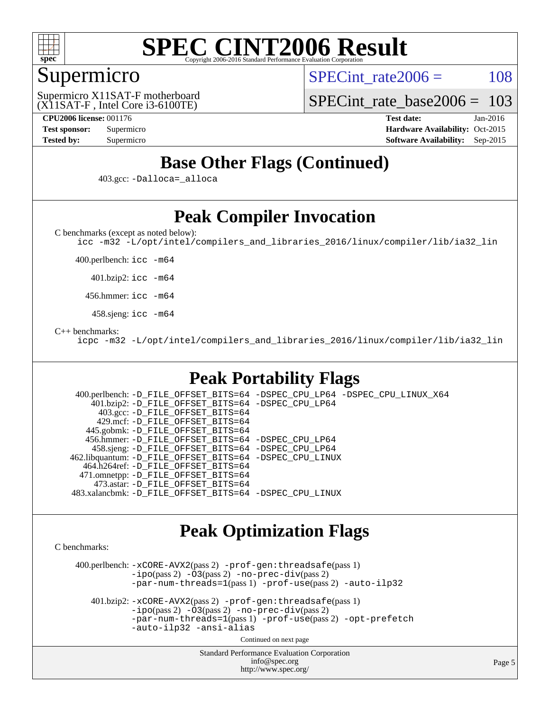

## Supermicro

SPECint rate $2006 = 108$ 

(X11SAT-F , Intel Core i3-6100TE) Supermicro X11SAT-F motherboard

[SPECint\\_rate\\_base2006 =](http://www.spec.org/auto/cpu2006/Docs/result-fields.html#SPECintratebase2006) 103

**[CPU2006 license:](http://www.spec.org/auto/cpu2006/Docs/result-fields.html#CPU2006license)** 001176 **[Test date:](http://www.spec.org/auto/cpu2006/Docs/result-fields.html#Testdate)** Jan-2016 **[Test sponsor:](http://www.spec.org/auto/cpu2006/Docs/result-fields.html#Testsponsor)** Supermicro Supermicro **[Hardware Availability:](http://www.spec.org/auto/cpu2006/Docs/result-fields.html#HardwareAvailability)** Oct-2015 **[Tested by:](http://www.spec.org/auto/cpu2006/Docs/result-fields.html#Testedby)** Supermicro **Supermicro [Software Availability:](http://www.spec.org/auto/cpu2006/Docs/result-fields.html#SoftwareAvailability)** Sep-2015

# **[Base Other Flags \(Continued\)](http://www.spec.org/auto/cpu2006/Docs/result-fields.html#BaseOtherFlags)**

403.gcc: [-Dalloca=\\_alloca](http://www.spec.org/cpu2006/results/res2016q1/cpu2006-20160120-38718.flags.html#b403.gcc_baseEXTRA_CFLAGS_Dalloca_be3056838c12de2578596ca5467af7f3)

# **[Peak Compiler Invocation](http://www.spec.org/auto/cpu2006/Docs/result-fields.html#PeakCompilerInvocation)**

[C benchmarks \(except as noted below\)](http://www.spec.org/auto/cpu2006/Docs/result-fields.html#Cbenchmarksexceptasnotedbelow):

[icc -m32 -L/opt/intel/compilers\\_and\\_libraries\\_2016/linux/compiler/lib/ia32\\_lin](http://www.spec.org/cpu2006/results/res2016q1/cpu2006-20160120-38718.flags.html#user_CCpeak_intel_icc_e10256ba5924b668798078a321b0cb3f)

400.perlbench: [icc -m64](http://www.spec.org/cpu2006/results/res2016q1/cpu2006-20160120-38718.flags.html#user_peakCCLD400_perlbench_intel_icc_64bit_bda6cc9af1fdbb0edc3795bac97ada53)

401.bzip2: [icc -m64](http://www.spec.org/cpu2006/results/res2016q1/cpu2006-20160120-38718.flags.html#user_peakCCLD401_bzip2_intel_icc_64bit_bda6cc9af1fdbb0edc3795bac97ada53)

456.hmmer: [icc -m64](http://www.spec.org/cpu2006/results/res2016q1/cpu2006-20160120-38718.flags.html#user_peakCCLD456_hmmer_intel_icc_64bit_bda6cc9af1fdbb0edc3795bac97ada53)

458.sjeng: [icc -m64](http://www.spec.org/cpu2006/results/res2016q1/cpu2006-20160120-38718.flags.html#user_peakCCLD458_sjeng_intel_icc_64bit_bda6cc9af1fdbb0edc3795bac97ada53)

#### [C++ benchmarks:](http://www.spec.org/auto/cpu2006/Docs/result-fields.html#CXXbenchmarks)

[icpc -m32 -L/opt/intel/compilers\\_and\\_libraries\\_2016/linux/compiler/lib/ia32\\_lin](http://www.spec.org/cpu2006/results/res2016q1/cpu2006-20160120-38718.flags.html#user_CXXpeak_intel_icpc_b4f50a394bdb4597aa5879c16bc3f5c5)

# **[Peak Portability Flags](http://www.spec.org/auto/cpu2006/Docs/result-fields.html#PeakPortabilityFlags)**

 400.perlbench: [-D\\_FILE\\_OFFSET\\_BITS=64](http://www.spec.org/cpu2006/results/res2016q1/cpu2006-20160120-38718.flags.html#user_peakPORTABILITY400_perlbench_file_offset_bits_64_438cf9856305ebd76870a2c6dc2689ab) [-DSPEC\\_CPU\\_LP64](http://www.spec.org/cpu2006/results/res2016q1/cpu2006-20160120-38718.flags.html#b400.perlbench_peakCPORTABILITY_DSPEC_CPU_LP64) [-DSPEC\\_CPU\\_LINUX\\_X64](http://www.spec.org/cpu2006/results/res2016q1/cpu2006-20160120-38718.flags.html#b400.perlbench_peakCPORTABILITY_DSPEC_CPU_LINUX_X64) 401.bzip2: [-D\\_FILE\\_OFFSET\\_BITS=64](http://www.spec.org/cpu2006/results/res2016q1/cpu2006-20160120-38718.flags.html#user_peakPORTABILITY401_bzip2_file_offset_bits_64_438cf9856305ebd76870a2c6dc2689ab) [-DSPEC\\_CPU\\_LP64](http://www.spec.org/cpu2006/results/res2016q1/cpu2006-20160120-38718.flags.html#suite_peakCPORTABILITY401_bzip2_DSPEC_CPU_LP64) 403.gcc: [-D\\_FILE\\_OFFSET\\_BITS=64](http://www.spec.org/cpu2006/results/res2016q1/cpu2006-20160120-38718.flags.html#user_peakPORTABILITY403_gcc_file_offset_bits_64_438cf9856305ebd76870a2c6dc2689ab) 429.mcf: [-D\\_FILE\\_OFFSET\\_BITS=64](http://www.spec.org/cpu2006/results/res2016q1/cpu2006-20160120-38718.flags.html#user_peakPORTABILITY429_mcf_file_offset_bits_64_438cf9856305ebd76870a2c6dc2689ab) 445.gobmk: [-D\\_FILE\\_OFFSET\\_BITS=64](http://www.spec.org/cpu2006/results/res2016q1/cpu2006-20160120-38718.flags.html#user_peakPORTABILITY445_gobmk_file_offset_bits_64_438cf9856305ebd76870a2c6dc2689ab) 456.hmmer: [-D\\_FILE\\_OFFSET\\_BITS=64](http://www.spec.org/cpu2006/results/res2016q1/cpu2006-20160120-38718.flags.html#user_peakPORTABILITY456_hmmer_file_offset_bits_64_438cf9856305ebd76870a2c6dc2689ab) [-DSPEC\\_CPU\\_LP64](http://www.spec.org/cpu2006/results/res2016q1/cpu2006-20160120-38718.flags.html#suite_peakCPORTABILITY456_hmmer_DSPEC_CPU_LP64) 458.sjeng: [-D\\_FILE\\_OFFSET\\_BITS=64](http://www.spec.org/cpu2006/results/res2016q1/cpu2006-20160120-38718.flags.html#user_peakPORTABILITY458_sjeng_file_offset_bits_64_438cf9856305ebd76870a2c6dc2689ab) [-DSPEC\\_CPU\\_LP64](http://www.spec.org/cpu2006/results/res2016q1/cpu2006-20160120-38718.flags.html#suite_peakCPORTABILITY458_sjeng_DSPEC_CPU_LP64) 462.libquantum: [-D\\_FILE\\_OFFSET\\_BITS=64](http://www.spec.org/cpu2006/results/res2016q1/cpu2006-20160120-38718.flags.html#user_peakPORTABILITY462_libquantum_file_offset_bits_64_438cf9856305ebd76870a2c6dc2689ab) [-DSPEC\\_CPU\\_LINUX](http://www.spec.org/cpu2006/results/res2016q1/cpu2006-20160120-38718.flags.html#b462.libquantum_peakCPORTABILITY_DSPEC_CPU_LINUX) 464.h264ref: [-D\\_FILE\\_OFFSET\\_BITS=64](http://www.spec.org/cpu2006/results/res2016q1/cpu2006-20160120-38718.flags.html#user_peakPORTABILITY464_h264ref_file_offset_bits_64_438cf9856305ebd76870a2c6dc2689ab) 471.omnetpp: [-D\\_FILE\\_OFFSET\\_BITS=64](http://www.spec.org/cpu2006/results/res2016q1/cpu2006-20160120-38718.flags.html#user_peakPORTABILITY471_omnetpp_file_offset_bits_64_438cf9856305ebd76870a2c6dc2689ab) 473.astar: [-D\\_FILE\\_OFFSET\\_BITS=64](http://www.spec.org/cpu2006/results/res2016q1/cpu2006-20160120-38718.flags.html#user_peakPORTABILITY473_astar_file_offset_bits_64_438cf9856305ebd76870a2c6dc2689ab) 483.xalancbmk: [-D\\_FILE\\_OFFSET\\_BITS=64](http://www.spec.org/cpu2006/results/res2016q1/cpu2006-20160120-38718.flags.html#user_peakPORTABILITY483_xalancbmk_file_offset_bits_64_438cf9856305ebd76870a2c6dc2689ab) [-DSPEC\\_CPU\\_LINUX](http://www.spec.org/cpu2006/results/res2016q1/cpu2006-20160120-38718.flags.html#b483.xalancbmk_peakCXXPORTABILITY_DSPEC_CPU_LINUX)

### **[Peak Optimization Flags](http://www.spec.org/auto/cpu2006/Docs/result-fields.html#PeakOptimizationFlags)**

[C benchmarks](http://www.spec.org/auto/cpu2006/Docs/result-fields.html#Cbenchmarks):

 400.perlbench: [-xCORE-AVX2](http://www.spec.org/cpu2006/results/res2016q1/cpu2006-20160120-38718.flags.html#user_peakPASS2_CFLAGSPASS2_LDCFLAGS400_perlbench_f-xAVX2_5f5fc0cbe2c9f62c816d3e45806c70d7)(pass 2) [-prof-gen:threadsafe](http://www.spec.org/cpu2006/results/res2016q1/cpu2006-20160120-38718.flags.html#user_peakPASS1_CFLAGSPASS1_LDCFLAGS400_perlbench_prof_gen_21a26eb79f378b550acd7bec9fe4467a)(pass 1)  $-i\text{po}(pass 2) -\tilde{O}3(pass 2)$  [-no-prec-div](http://www.spec.org/cpu2006/results/res2016q1/cpu2006-20160120-38718.flags.html#user_peakPASS2_CFLAGSPASS2_LDCFLAGS400_perlbench_f-no-prec-div)(pass 2) [-par-num-threads=1](http://www.spec.org/cpu2006/results/res2016q1/cpu2006-20160120-38718.flags.html#user_peakPASS1_CFLAGSPASS1_LDCFLAGS400_perlbench_par_num_threads_786a6ff141b4e9e90432e998842df6c2)(pass 1) [-prof-use](http://www.spec.org/cpu2006/results/res2016q1/cpu2006-20160120-38718.flags.html#user_peakPASS2_CFLAGSPASS2_LDCFLAGS400_perlbench_prof_use_bccf7792157ff70d64e32fe3e1250b55)(pass 2) [-auto-ilp32](http://www.spec.org/cpu2006/results/res2016q1/cpu2006-20160120-38718.flags.html#user_peakCOPTIMIZE400_perlbench_f-auto-ilp32)

 401.bzip2: [-xCORE-AVX2](http://www.spec.org/cpu2006/results/res2016q1/cpu2006-20160120-38718.flags.html#user_peakPASS2_CFLAGSPASS2_LDCFLAGS401_bzip2_f-xAVX2_5f5fc0cbe2c9f62c816d3e45806c70d7)(pass 2) [-prof-gen:threadsafe](http://www.spec.org/cpu2006/results/res2016q1/cpu2006-20160120-38718.flags.html#user_peakPASS1_CFLAGSPASS1_LDCFLAGS401_bzip2_prof_gen_21a26eb79f378b550acd7bec9fe4467a)(pass 1)  $-i\text{po}(pass 2) -\overline{O}3(pass 2)$  [-no-prec-div](http://www.spec.org/cpu2006/results/res2016q1/cpu2006-20160120-38718.flags.html#user_peakPASS2_CFLAGSPASS2_LDCFLAGS401_bzip2_f-no-prec-div)(pass 2) [-par-num-threads=1](http://www.spec.org/cpu2006/results/res2016q1/cpu2006-20160120-38718.flags.html#user_peakPASS1_CFLAGSPASS1_LDCFLAGS401_bzip2_par_num_threads_786a6ff141b4e9e90432e998842df6c2)(pass 1) [-prof-use](http://www.spec.org/cpu2006/results/res2016q1/cpu2006-20160120-38718.flags.html#user_peakPASS2_CFLAGSPASS2_LDCFLAGS401_bzip2_prof_use_bccf7792157ff70d64e32fe3e1250b55)(pass 2) [-opt-prefetch](http://www.spec.org/cpu2006/results/res2016q1/cpu2006-20160120-38718.flags.html#user_peakCOPTIMIZE401_bzip2_f-opt-prefetch) [-auto-ilp32](http://www.spec.org/cpu2006/results/res2016q1/cpu2006-20160120-38718.flags.html#user_peakCOPTIMIZE401_bzip2_f-auto-ilp32) [-ansi-alias](http://www.spec.org/cpu2006/results/res2016q1/cpu2006-20160120-38718.flags.html#user_peakCOPTIMIZE401_bzip2_f-ansi-alias)

Continued on next page

Standard Performance Evaluation Corporation [info@spec.org](mailto:info@spec.org) <http://www.spec.org/>

Page 5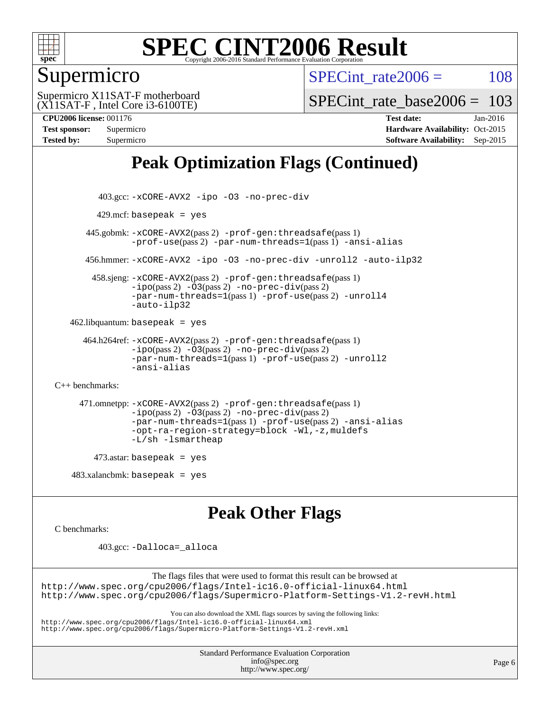

## Supermicro

SPECint rate $2006 = 108$ 

(X11SAT-F , Intel Core i3-6100TE) Supermicro X11SAT-F motherboard

SPECint rate base  $2006 = 103$ 

**[CPU2006 license:](http://www.spec.org/auto/cpu2006/Docs/result-fields.html#CPU2006license)** 001176 **[Test date:](http://www.spec.org/auto/cpu2006/Docs/result-fields.html#Testdate)** Jan-2016 **[Test sponsor:](http://www.spec.org/auto/cpu2006/Docs/result-fields.html#Testsponsor)** Supermicro Supermicro **[Hardware Availability:](http://www.spec.org/auto/cpu2006/Docs/result-fields.html#HardwareAvailability)** Oct-2015 **[Tested by:](http://www.spec.org/auto/cpu2006/Docs/result-fields.html#Testedby)** Supermicro **[Software Availability:](http://www.spec.org/auto/cpu2006/Docs/result-fields.html#SoftwareAvailability)** Sep-2015

# **[Peak Optimization Flags \(Continued\)](http://www.spec.org/auto/cpu2006/Docs/result-fields.html#PeakOptimizationFlags)**

```
 403.gcc: -xCORE-AVX2 -ipo -O3 -no-prec-div
         429.mcf: basepeak = yes
       445.gobmk: -xCORE-AVX2(pass 2) -prof-gen:threadsafe(pass 1)
                -prof-use(pass 2) -par-num-threads=1(pass 1) -ansi-alias
       456.hmmer: -xCORE-AVX2 -ipo -O3 -no-prec-div -unroll2 -auto-ilp32
         458.sjeng: -xCORE-AVX2(pass 2) -prof-gen:threadsafe(pass 1)
                -i\text{po}(pass 2) -\ddot{o}3(pass 2)-no-prec-div(pass 2)
                -par-num-threads=1(pass 1) -prof-use(pass 2) -unroll4
                -auto-ilp32
   462.libquantum: basepeak = yes
      464.h264ref: -xCORE-AVX2(pass 2) -prof-gen:threadsafe(pass 1)
                -ipo(pass 2) -O3(pass 2) -no-prec-div(pass 2)
                -par-num-threads=1(pass 1) -prof-use(pass 2) -unroll2
                -ansi-alias
C++ benchmarks: 
      471.omnetpp: -xCORE-AVX2(pass 2) -prof-gen:threadsafe(pass 1)
                -ipo(pass 2) -O3(pass 2) -no-prec-div(pass 2)
                -par-num-threads=1(pass 1) -prof-use(pass 2) -ansi-alias
                -opt-ra-region-strategy=block -Wl,-z,muldefs
                -L/sh -lsmartheap
         473.astar: basepeak = yes
   483.xalanchmk: basepeak = yesPeak Other Flags
C benchmarks: 
          403.gcc: -Dalloca=_alloca
```
The flags files that were used to format this result can be browsed at <http://www.spec.org/cpu2006/flags/Intel-ic16.0-official-linux64.html> <http://www.spec.org/cpu2006/flags/Supermicro-Platform-Settings-V1.2-revH.html>

You can also download the XML flags sources by saving the following links:

<http://www.spec.org/cpu2006/flags/Intel-ic16.0-official-linux64.xml>

<http://www.spec.org/cpu2006/flags/Supermicro-Platform-Settings-V1.2-revH.xml>

Standard Performance Evaluation Corporation [info@spec.org](mailto:info@spec.org) <http://www.spec.org/>